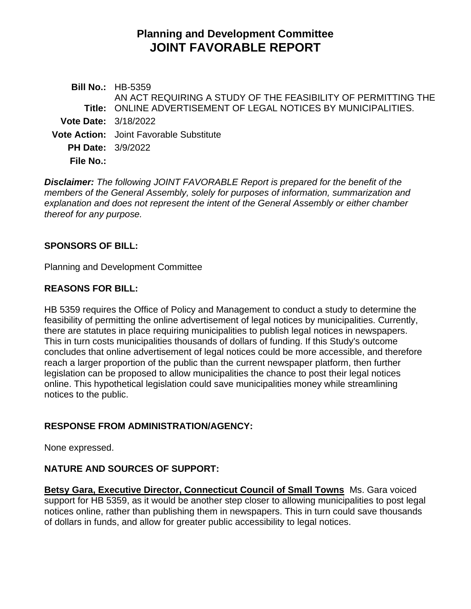# **Planning and Development Committee JOINT FAVORABLE REPORT**

**Bill No.:** HB-5359 **Title:** ONLINE ADVERTISEMENT OF LEGAL NOTICES BY MUNICIPALITIES. AN ACT REQUIRING A STUDY OF THE FEASIBILITY OF PERMITTING THE **Vote Date:** 3/18/2022 **Vote Action:** Joint Favorable Substitute **PH Date:** 3/9/2022 **File No.:**

*Disclaimer: The following JOINT FAVORABLE Report is prepared for the benefit of the members of the General Assembly, solely for purposes of information, summarization and explanation and does not represent the intent of the General Assembly or either chamber thereof for any purpose.*

#### **SPONSORS OF BILL:**

Planning and Development Committee

#### **REASONS FOR BILL:**

HB 5359 requires the Office of Policy and Management to conduct a study to determine the feasibility of permitting the online advertisement of legal notices by municipalities. Currently, there are statutes in place requiring municipalities to publish legal notices in newspapers. This in turn costs municipalities thousands of dollars of funding. If this Study's outcome concludes that online advertisement of legal notices could be more accessible, and therefore reach a larger proportion of the public than the current newspaper platform, then further legislation can be proposed to allow municipalities the chance to post their legal notices online. This hypothetical legislation could save municipalities money while streamlining notices to the public.

## **RESPONSE FROM ADMINISTRATION/AGENCY:**

None expressed.

#### **NATURE AND SOURCES OF SUPPORT:**

**Betsy Gara, Executive Director, Connecticut Council of Small Towns** Ms. Gara voiced support for HB 5359, as it would be another step closer to allowing municipalities to post legal notices online, rather than publishing them in newspapers. This in turn could save thousands of dollars in funds, and allow for greater public accessibility to legal notices.